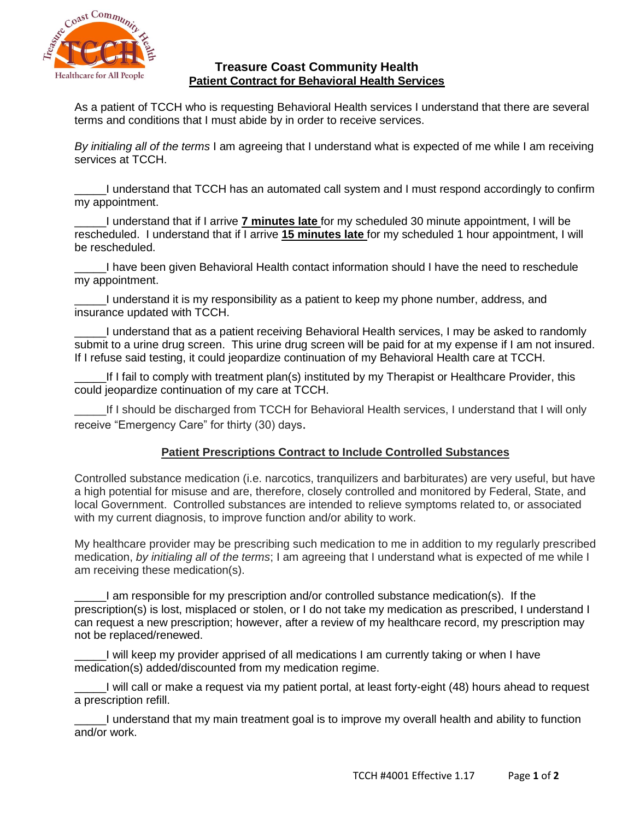

#### **Treasure Coast Community Health Patient Contract for Behavioral Health Services**

As a patient of TCCH who is requesting Behavioral Health services I understand that there are several terms and conditions that I must abide by in order to receive services.

*By initialing all of the terms* I am agreeing that I understand what is expected of me while I am receiving services at TCCH.

\_\_\_\_\_I understand that TCCH has an automated call system and I must respond accordingly to confirm my appointment.

\_\_\_\_\_I understand that if I arrive **7 minutes late** for my scheduled 30 minute appointment, I will be rescheduled. I understand that if I arrive **15 minutes late** for my scheduled 1 hour appointment, I will be rescheduled.

\_\_\_\_\_I have been given Behavioral Health contact information should I have the need to reschedule my appointment.

I understand it is my responsibility as a patient to keep my phone number, address, and insurance updated with TCCH.

\_\_\_\_\_I understand that as a patient receiving Behavioral Health services, I may be asked to randomly submit to a urine drug screen. This urine drug screen will be paid for at my expense if I am not insured. If I refuse said testing, it could jeopardize continuation of my Behavioral Health care at TCCH.

If I fail to comply with treatment plan(s) instituted by my Therapist or Healthcare Provider, this could jeopardize continuation of my care at TCCH.

If I should be discharged from TCCH for Behavioral Health services, I understand that I will only receive "Emergency Care" for thirty (30) days.

## **Patient Prescriptions Contract to Include Controlled Substances**

Controlled substance medication (i.e. narcotics, tranquilizers and barbiturates) are very useful, but have a high potential for misuse and are, therefore, closely controlled and monitored by Federal, State, and local Government. Controlled substances are intended to relieve symptoms related to, or associated with my current diagnosis, to improve function and/or ability to work.

My healthcare provider may be prescribing such medication to me in addition to my regularly prescribed medication, *by initialing all of the terms*; I am agreeing that I understand what is expected of me while I am receiving these medication(s).

\_\_\_\_\_I am responsible for my prescription and/or controlled substance medication(s). If the prescription(s) is lost, misplaced or stolen, or I do not take my medication as prescribed, I understand I can request a new prescription; however, after a review of my healthcare record, my prescription may not be replaced/renewed.

I will keep my provider apprised of all medications I am currently taking or when I have medication(s) added/discounted from my medication regime.

\_\_\_\_\_I will call or make a request via my patient portal, at least forty-eight (48) hours ahead to request a prescription refill.

\_\_\_\_\_I understand that my main treatment goal is to improve my overall health and ability to function and/or work.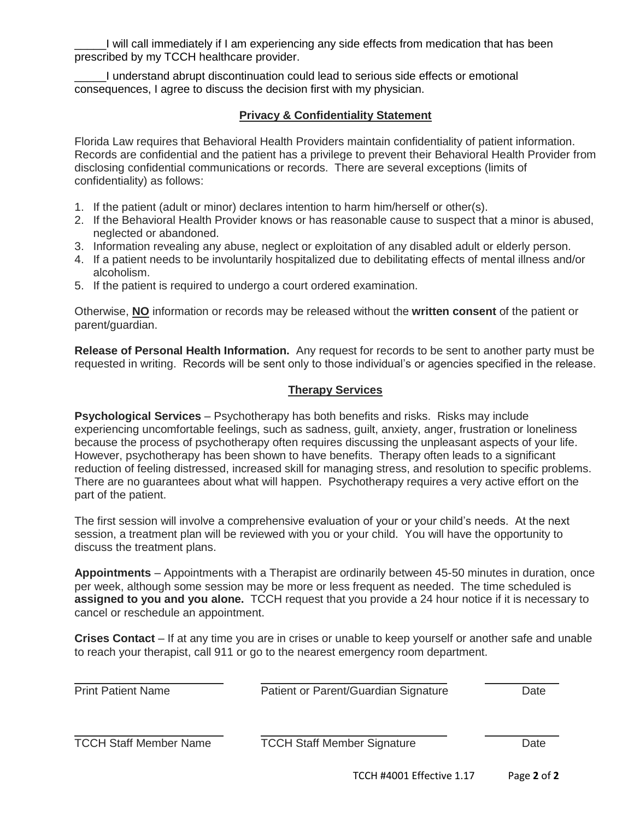\_\_\_\_\_I will call immediately if I am experiencing any side effects from medication that has been prescribed by my TCCH healthcare provider.

\_\_\_\_\_I understand abrupt discontinuation could lead to serious side effects or emotional consequences, I agree to discuss the decision first with my physician.

#### **Privacy & Confidentiality Statement**

Florida Law requires that Behavioral Health Providers maintain confidentiality of patient information. Records are confidential and the patient has a privilege to prevent their Behavioral Health Provider from disclosing confidential communications or records. There are several exceptions (limits of confidentiality) as follows:

- 1. If the patient (adult or minor) declares intention to harm him/herself or other(s).
- 2. If the Behavioral Health Provider knows or has reasonable cause to suspect that a minor is abused, neglected or abandoned.
- 3. Information revealing any abuse, neglect or exploitation of any disabled adult or elderly person.
- 4. If a patient needs to be involuntarily hospitalized due to debilitating effects of mental illness and/or alcoholism.
- 5. If the patient is required to undergo a court ordered examination.

Otherwise, **NO** information or records may be released without the **written consent** of the patient or parent/guardian.

**Release of Personal Health Information.** Any request for records to be sent to another party must be requested in writing. Records will be sent only to those individual's or agencies specified in the release.

## **Therapy Services**

**Psychological Services** – Psychotherapy has both benefits and risks. Risks may include experiencing uncomfortable feelings, such as sadness, guilt, anxiety, anger, frustration or loneliness because the process of psychotherapy often requires discussing the unpleasant aspects of your life. However, psychotherapy has been shown to have benefits. Therapy often leads to a significant reduction of feeling distressed, increased skill for managing stress, and resolution to specific problems. There are no guarantees about what will happen. Psychotherapy requires a very active effort on the part of the patient.

The first session will involve a comprehensive evaluation of your or your child's needs. At the next session, a treatment plan will be reviewed with you or your child. You will have the opportunity to discuss the treatment plans.

**Appointments** – Appointments with a Therapist are ordinarily between 45-50 minutes in duration, once per week, although some session may be more or less frequent as needed. The time scheduled is **assigned to you and you alone.** TCCH request that you provide a 24 hour notice if it is necessary to cancel or reschedule an appointment.

**Crises Contact** – If at any time you are in crises or unable to keep yourself or another safe and unable to reach your therapist, call 911 or go to the nearest emergency room department.

| <b>Print Patient Name</b>     | Patient or Parent/Guardian Signature | Date |
|-------------------------------|--------------------------------------|------|
| <b>TCCH Staff Member Name</b> | <b>TCCH Staff Member Signature</b>   | Date |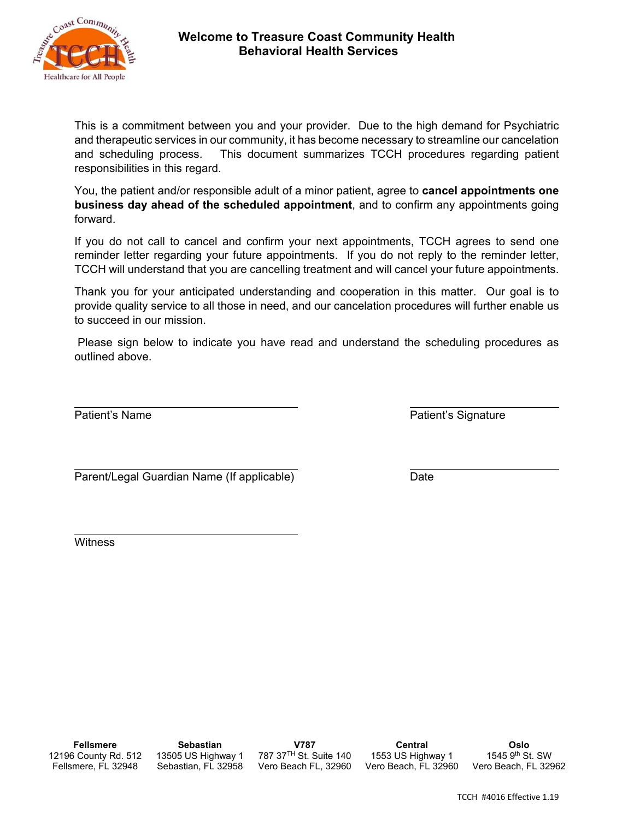

#### **Welcome to Treasure Coast Community Health Behavioral Health Services**

This is a commitment between you and your provider. Due to the high demand for Psychiatric and therapeutic services in our community, it has become necessary to streamline our cancelation and scheduling process. This document summarizes TCCH procedures regarding patient responsibilities in this regard.

You, the patient and/or responsible adult of a minor patient, agree to **cancel appointments one business day ahead of the scheduled appointment**, and to confirm any appointments going forward.

If you do not call to cancel and confirm your next appointments, TCCH agrees to send one reminder letter regarding your future appointments. If you do not reply to the reminder letter, TCCH will understand that you are cancelling treatment and will cancel your future appointments.

Thank you for your anticipated understanding and cooperation in this matter. Our goal is to provide quality service to all those in need, and our cancelation procedures will further enable us to succeed in our mission.

 Please sign below to indicate you have read and understand the scheduling procedures as outlined above.

Patient's Name **Patient's Signature** 

 $\overline{a}$ Parent/Legal Guardian Name (If applicable) Date

 $\overline{a}$ **Witness**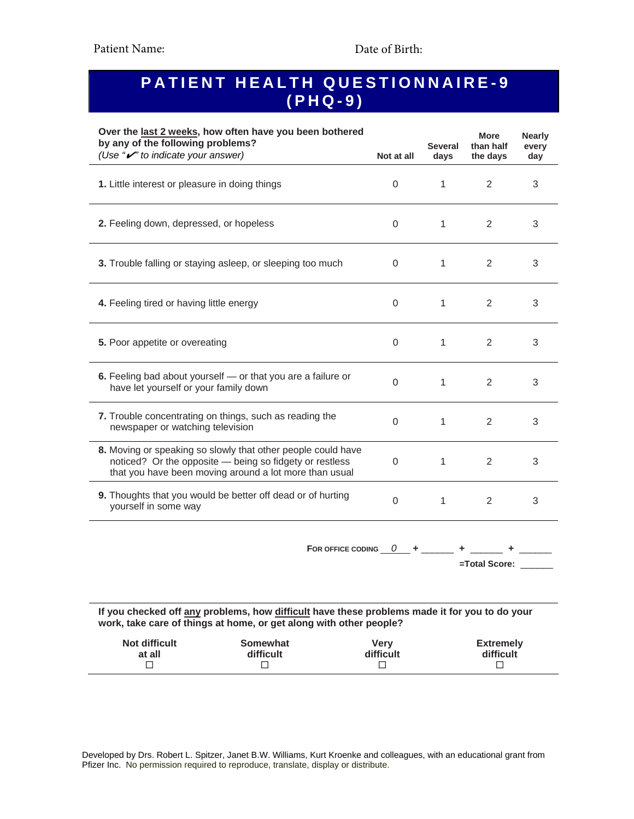# **PATIENT HEALTH QUESTIONNAIRE-9 (PHQ-9)**

| Over the last 2 weeks, how often have you been bothered<br>by any of the following problems?<br>(Use "v" to indicate your answer)                                                 |             | <b>Several</b><br>days | <b>More</b><br>than half<br>the days | <b>Nearly</b><br>every<br>day |
|-----------------------------------------------------------------------------------------------------------------------------------------------------------------------------------|-------------|------------------------|--------------------------------------|-------------------------------|
| 1. Little interest or pleasure in doing things                                                                                                                                    | $\Omega$    | $\mathbf{1}$           | 2                                    | 3                             |
| 2. Feeling down, depressed, or hopeless                                                                                                                                           | $\Omega$    | 1                      | 2                                    | 3                             |
| 3. Trouble falling or staying asleep, or sleeping too much                                                                                                                        | 0           | 1                      | 2                                    | 3                             |
| 4. Feeling tired or having little energy                                                                                                                                          | $\Omega$    | $\mathbf{1}$           | 2                                    | 3                             |
| 5. Poor appetite or overeating                                                                                                                                                    | $\Omega$    | $\mathbf{1}$           | 2                                    | 3                             |
| 6. Feeling bad about yourself - or that you are a failure or<br>have let yourself or your family down                                                                             | $\Omega$    | 1                      | 2                                    | 3                             |
| 7. Trouble concentrating on things, such as reading the<br>newspaper or watching television                                                                                       | $\Omega$    | $\mathbf{1}$           | 2                                    | 3                             |
| 8. Moving or speaking so slowly that other people could have<br>noticed? Or the opposite - being so fidgety or restless<br>that you have been moving around a lot more than usual | 0           | 1                      | 2                                    | 3                             |
| 9. Thoughts that you would be better off dead or of hurting<br>yourself in some way                                                                                               | $\mathbf 0$ | 1                      | 2                                    | 3                             |
| FOR OFFICE CODING $0 +$                                                                                                                                                           |             |                        |                                      |                               |

**=Total Score:** \_\_\_\_\_\_

**If you checked off any problems, how difficult have these problems made it for you to do your work, take care of things at home, or get along with other people?** 

| Not difficult | <b>Somewhat</b> | Verv      | <b>Extremely</b> |
|---------------|-----------------|-----------|------------------|
| at all        | difficult       | difficult | difficult        |

Developed by Drs. Robert L. Spitzer, Janet B.W. Williams, Kurt Kroenke and colleagues, with an educational grant from Pfizer Inc. No permission required to reproduce, translate, display or distribute.